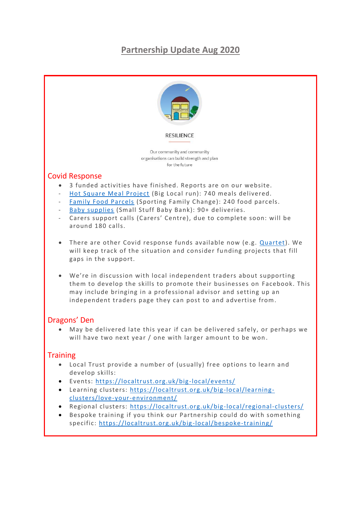# **Partnership Update Aug 2020**



#### Dragons' Den

• May be delivered late this year if can be delivered safely, or perhaps we will have two next year / one with larger amount to be won.

## **Training**

- Local Trust provide a number of (usually) free options to learn and develop skills:
- Events:<https://localtrust.org.uk/big-local/events/>
- Learning clusters: [https://localtrust.org.uk/big](https://localtrust.org.uk/big-local/learning-clusters/love-your-environment/) -local/learning[clusters/love-your-environment/](https://localtrust.org.uk/big-local/learning-clusters/love-your-environment/)
- Regional clusters: [https://localtrust.org.uk/big](https://localtrust.org.uk/big-local/regional-clusters/) -local/regional-clusters/
- Bespoke training if you think our Partnership could do with something specific:<https://localtrust.org.uk/big-local/bespoke-training/>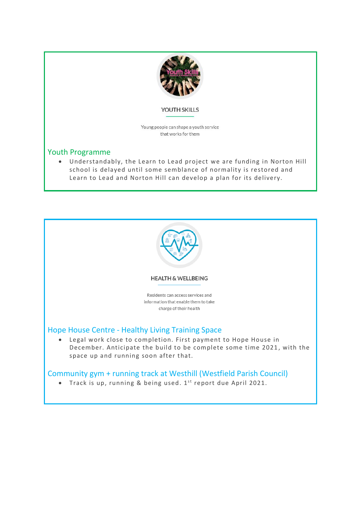

#### YOUTH SKILLS

Young people can shape a youth service that works for them

#### Youth Programme

• Understandably, the Learn to Lead project we are funding in Norton Hill school is delayed until some semblance of normality is restored and Learn to Lead and Norton Hill can develop a plan for its delivery.